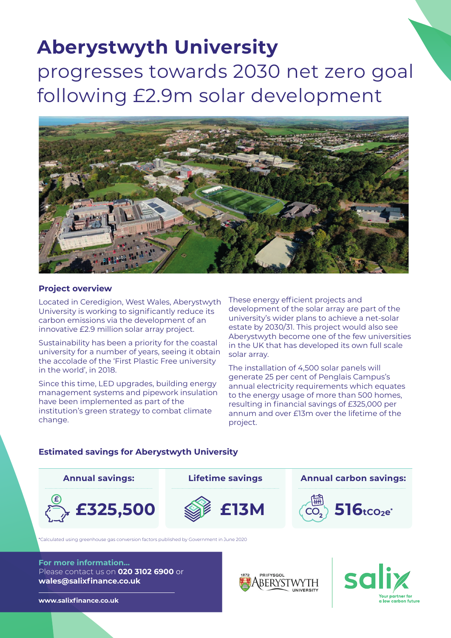# **Aberystwyth University**  progresses towards 2030 net zero goal following £2.9m solar development



## **Project overview**

Located in Ceredigion, West Wales, Aberystwyth University is working to significantly reduce its carbon emissions via the development of an innovative £2.9 million solar array project.

Sustainability has been a priority for the coastal university for a number of years, seeing it obtain the accolade of the 'First Plastic Free university in the world', in 2018.

Since this time, LED upgrades, building energy management systems and pipework insulation have been implemented as part of the institution's green strategy to combat climate change.

These energy efficient projects and development of the solar array are part of the university's wider plans to achieve a net-solar estate by 2030/31. This project would also see Aberystwyth become one of the few universities in the UK that has developed its own full scale solar array.

The installation of 4,500 solar panels will generate 25 per cent of Penglais Campus's annual electricity requirements which equates to the energy usage of more than 500 homes, resulting in financial savings of £325,000 per annum and over £13m over the lifetime of the project.

## **E325,500** SE13M (CO<sub>2</sub>) 516tco2e<sup>\*</sup> **Annual savings: Lifetime savings Annual carbon savings:**  $CO<sub>2</sub>$

\*Calculated using greenhouse gas conversion factors published by Government in June 2020

**For more information...** Please contact us on **020 3102 6900** or **wales@salixfinance.co.uk**





**www.salixfinance.co.uk**

## **Estimated savings for Aberystwyth University**